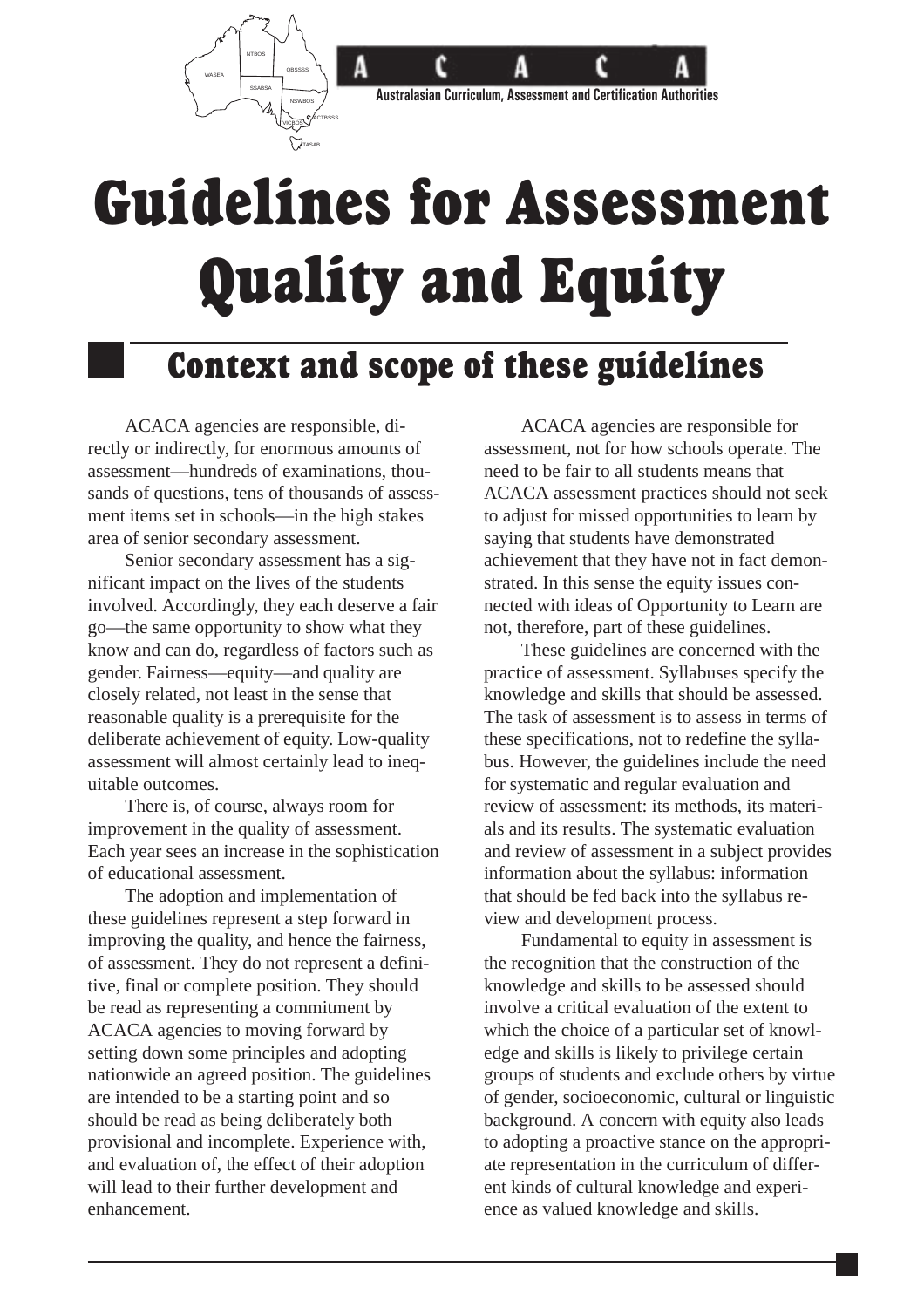

# Guidelines for Assessment Quality and Equity

### Context and scope of these guidelines

ACACA agencies are responsible, directly or indirectly, for enormous amounts of assessment—hundreds of examinations, thousands of questions, tens of thousands of assessment items set in schools—in the high stakes area of senior secondary assessment.

Senior secondary assessment has a significant impact on the lives of the students involved. Accordingly, they each deserve a fair go—the same opportunity to show what they know and can do, regardless of factors such as gender. Fairness—equity—and quality are closely related, not least in the sense that reasonable quality is a prerequisite for the deliberate achievement of equity. Low-quality assessment will almost certainly lead to inequitable outcomes.

There is, of course, always room for improvement in the quality of assessment. Each year sees an increase in the sophistication of educational assessment.

The adoption and implementation of these guidelines represent a step forward in improving the quality, and hence the fairness, of assessment. They do not represent a definitive, final or complete position. They should be read as representing a commitment by ACACA agencies to moving forward by setting down some principles and adopting nationwide an agreed position. The guidelines are intended to be a starting point and so should be read as being deliberately both provisional and incomplete. Experience with, and evaluation of, the effect of their adoption will lead to their further development and enhancement.

ACACA agencies are responsible for assessment, not for how schools operate. The need to be fair to all students means that ACACA assessment practices should not seek to adjust for missed opportunities to learn by saying that students have demonstrated achievement that they have not in fact demonstrated. In this sense the equity issues connected with ideas of Opportunity to Learn are not, therefore, part of these guidelines.

These guidelines are concerned with the practice of assessment. Syllabuses specify the knowledge and skills that should be assessed. The task of assessment is to assess in terms of these specifications, not to redefine the syllabus. However, the guidelines include the need for systematic and regular evaluation and review of assessment: its methods, its materials and its results. The systematic evaluation and review of assessment in a subject provides information about the syllabus: information that should be fed back into the syllabus review and development process.

Fundamental to equity in assessment is the recognition that the construction of the knowledge and skills to be assessed should involve a critical evaluation of the extent to which the choice of a particular set of knowledge and skills is likely to privilege certain groups of students and exclude others by virtue of gender, socioeconomic, cultural or linguistic background. A concern with equity also leads to adopting a proactive stance on the appropriate representation in the curriculum of different kinds of cultural knowledge and experience as valued knowledge and skills.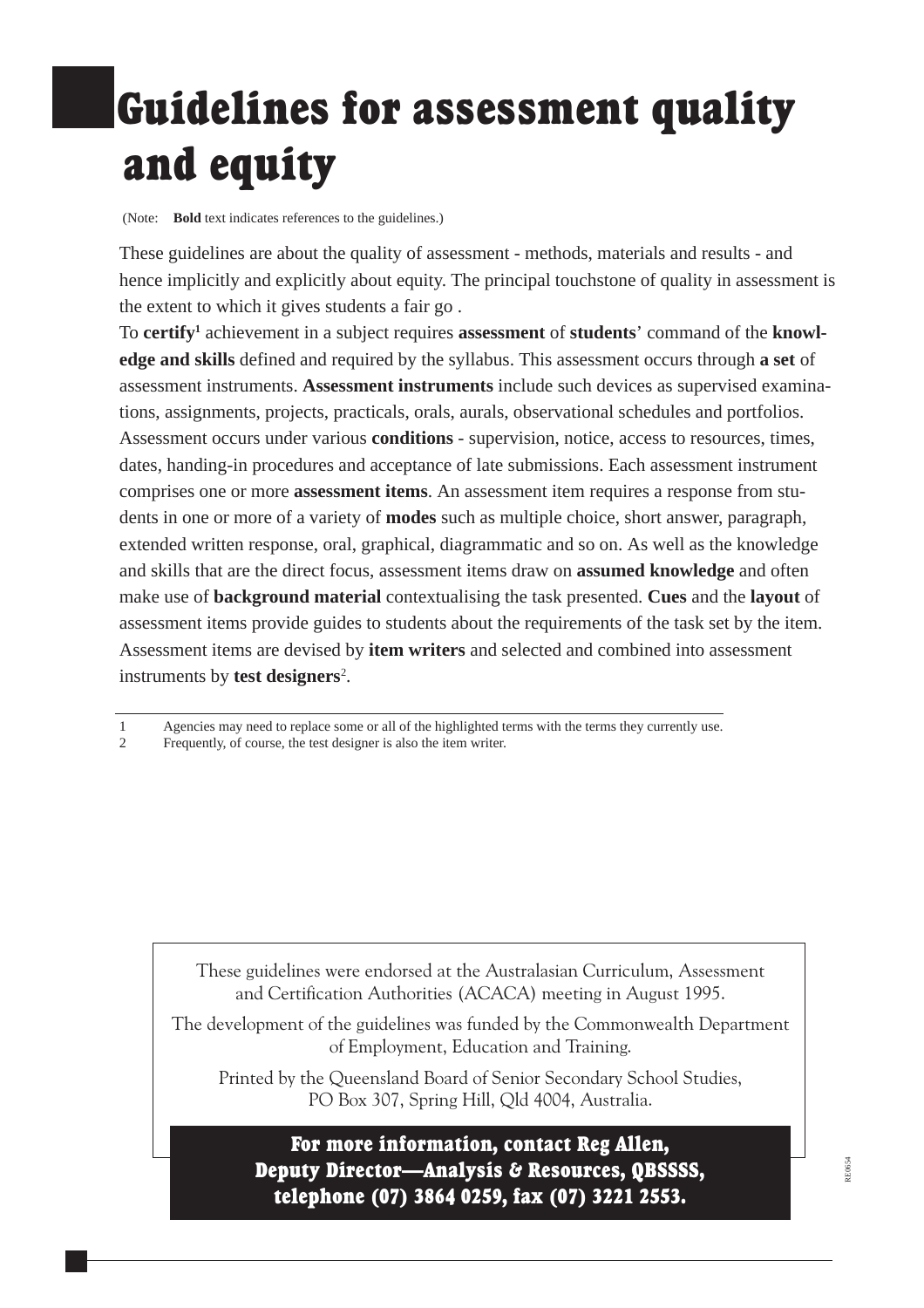## Guidelines for assessment quality and equity

(Note: **Bold** text indicates references to the guidelines.)

These guidelines are about the quality of assessment - methods, materials and results - and hence implicitly and explicitly about equity. The principal touchstone of quality in assessment is the extent to which it gives students a fair go .

To **certify1** achievement in a subject requires **assessment** of **students**' command of the **knowledge and skills** defined and required by the syllabus. This assessment occurs through **a set** of assessment instruments. **Assessment instruments** include such devices as supervised examinations, assignments, projects, practicals, orals, aurals, observational schedules and portfolios. Assessment occurs under various **conditions** - supervision, notice, access to resources, times, dates, handing-in procedures and acceptance of late submissions. Each assessment instrument comprises one or more **assessment items**. An assessment item requires a response from students in one or more of a variety of **modes** such as multiple choice, short answer, paragraph, extended written response, oral, graphical, diagrammatic and so on. As well as the knowledge and skills that are the direct focus, assessment items draw on **assumed knowledge** and often make use of **background material** contextualising the task presented. **Cues** and the **layout** of assessment items provide guides to students about the requirements of the task set by the item. Assessment items are devised by **item writers** and selected and combined into assessment instruments by **test designers**<sup>2</sup> .

2 Frequently, of course, the test designer is also the item writer.

These guidelines were endorsed at the Australasian Curriculum, Assessment and Certification Authorities (ACACA) meeting in August 1995.

The development of the guidelines was funded by the Commonwealth Department of Employment, Education and Training.

Printed by the Queensland Board of Senior Secondary School Studies, PO Box 307, Spring Hill, Qld 4004, Australia.

For more information, contact Reg Allen, Deputy Director-Analysis & Resources, QBSSSS, telephone (07) 3864 0259, fax (07) 3221 2553.

<sup>1</sup> Agencies may need to replace some or all of the highlighted terms with the terms they currently use.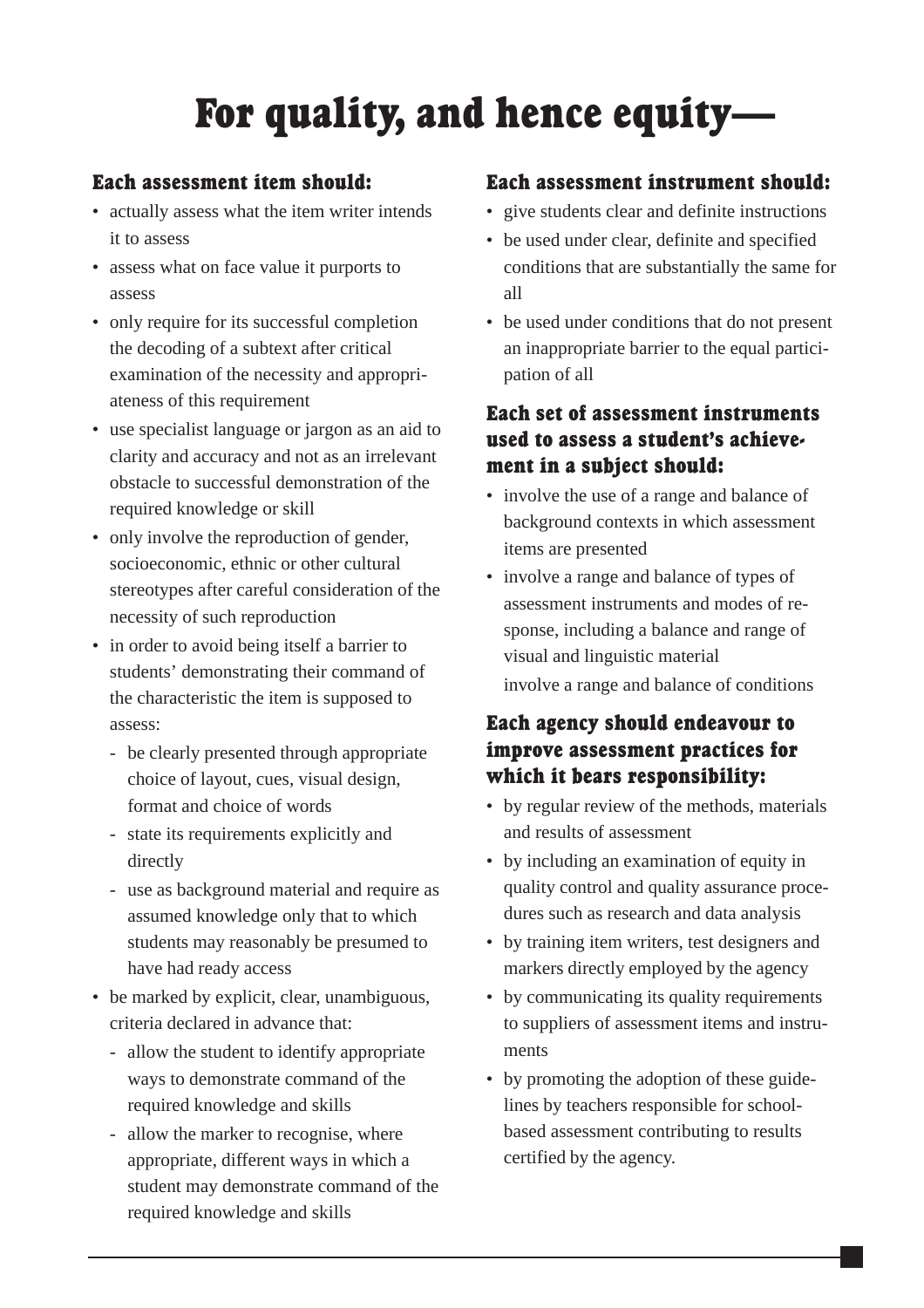### For quality, and hence equity

#### Each assessment item should:

- actually assess what the item writer intends it to assess
- assess what on face value it purports to assess
- only require for its successful completion the decoding of a subtext after critical examination of the necessity and appropriateness of this requirement
- use specialist language or jargon as an aid to clarity and accuracy and not as an irrelevant obstacle to successful demonstration of the required knowledge or skill
- only involve the reproduction of gender, socioeconomic, ethnic or other cultural stereotypes after careful consideration of the necessity of such reproduction
- in order to avoid being itself a barrier to students' demonstrating their command of the characteristic the item is supposed to assess:
	- be clearly presented through appropriate choice of layout, cues, visual design, format and choice of words
	- state its requirements explicitly and directly
	- use as background material and require as assumed knowledge only that to which students may reasonably be presumed to have had ready access
- be marked by explicit, clear, unambiguous, criteria declared in advance that:
	- allow the student to identify appropriate ways to demonstrate command of the required knowledge and skills
	- allow the marker to recognise, where appropriate, different ways in which a student may demonstrate command of the required knowledge and skills

#### Each assessment instrument should:

- give students clear and definite instructions
- be used under clear, definite and specified conditions that are substantially the same for all
- be used under conditions that do not present an inappropriate barrier to the equal participation of all

#### Each set of assessment instruments used to assess a student's achievement in a subject should:

- involve the use of a range and balance of background contexts in which assessment items are presented
- involve a range and balance of types of assessment instruments and modes of response, including a balance and range of visual and linguistic material involve a range and balance of conditions

#### Each agency should endeavour to improve assessment practices for which it bears responsibility:

- by regular review of the methods, materials and results of assessment
- by including an examination of equity in quality control and quality assurance procedures such as research and data analysis
- by training item writers, test designers and markers directly employed by the agency
- by communicating its quality requirements to suppliers of assessment items and instruments
- by promoting the adoption of these guidelines by teachers responsible for schoolbased assessment contributing to results certified by the agency.